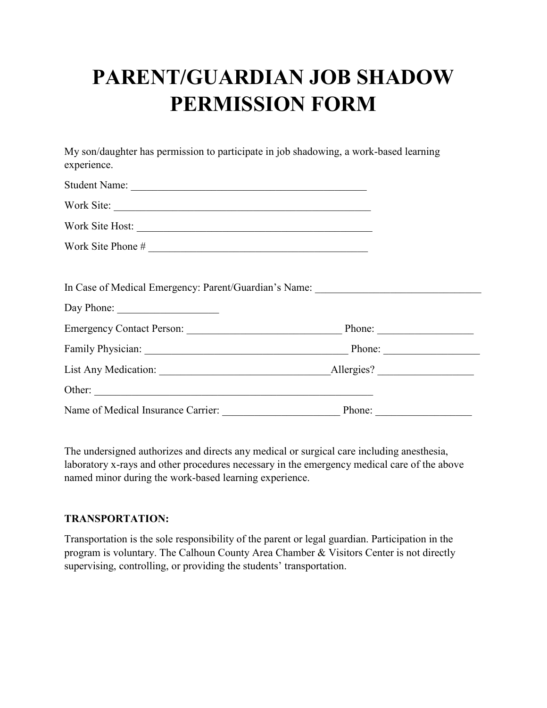## **PARENT/GUARDIAN JOB SHADOW PERMISSION FORM**

My son/daughter has permission to participate in job shadowing, a work-based learning experience.

| Work Site:                                                                                                                                                                                                                     |        |  |
|--------------------------------------------------------------------------------------------------------------------------------------------------------------------------------------------------------------------------------|--------|--|
| Work Site Host:                                                                                                                                                                                                                |        |  |
|                                                                                                                                                                                                                                |        |  |
|                                                                                                                                                                                                                                |        |  |
| In Case of Medical Emergency: Parent/Guardian's Name: __________________________                                                                                                                                               |        |  |
|                                                                                                                                                                                                                                |        |  |
|                                                                                                                                                                                                                                |        |  |
| Family Physician: Physician: Phone: Phone: Phone: Phone: Phone: Phone: Phone: Phone: Phone: Phone: Phone: Phone: Phone: Phone: Phone: Phone: Phone: Phone: Phone: Phone: Phone: Phone: Phone: Phone: Phone: Phone: Phone: Phon |        |  |
|                                                                                                                                                                                                                                |        |  |
| Other:                                                                                                                                                                                                                         |        |  |
|                                                                                                                                                                                                                                | Phone: |  |

The undersigned authorizes and directs any medical or surgical care including anesthesia, laboratory x-rays and other procedures necessary in the emergency medical care of the above named minor during the work-based learning experience.

## **TRANSPORTATION:**

Transportation is the sole responsibility of the parent or legal guardian. Participation in the program is voluntary. The Calhoun County Area Chamber & Visitors Center is not directly supervising, controlling, or providing the students' transportation.